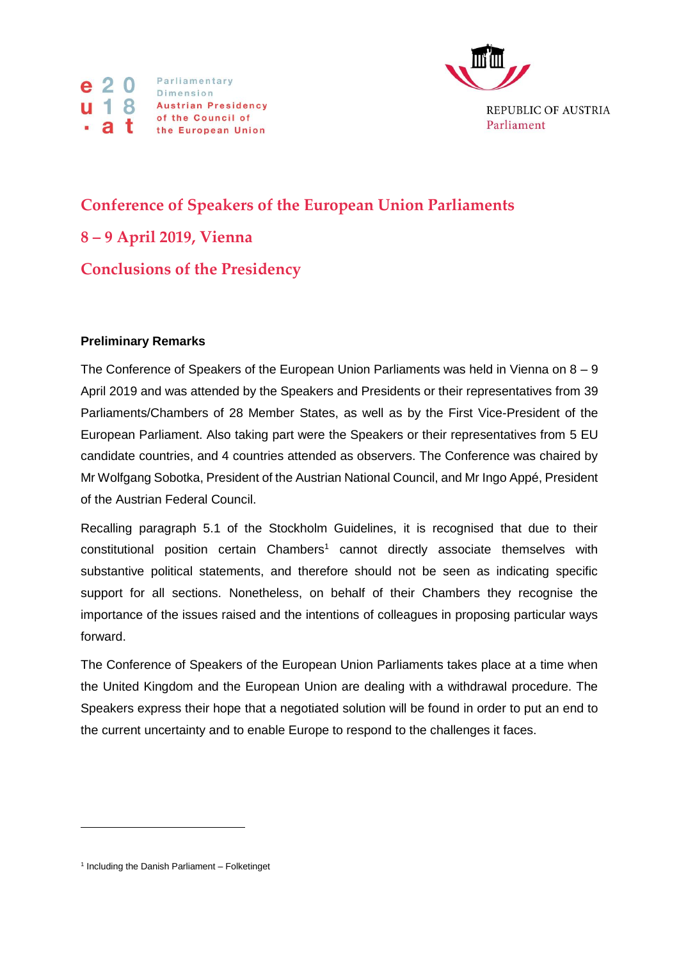



**Conference of Speakers of the European Union Parliaments 8 – 9 April 2019, Vienna Conclusions of the Presidency**

## **Preliminary Remarks**

The Conference of Speakers of the European Union Parliaments was held in Vienna on  $8 - 9$ April 2019 and was attended by the Speakers and Presidents or their representatives from 39 Parliaments/Chambers of 28 Member States, as well as by the First Vice-President of the European Parliament. Also taking part were the Speakers or their representatives from 5 EU candidate countries, and 4 countries attended as observers. The Conference was chaired by Mr Wolfgang Sobotka, President of the Austrian National Council, and Mr Ingo Appé, President of the Austrian Federal Council.

Recalling paragraph 5.1 of the Stockholm Guidelines, it is recognised that due to their constitutional position certain Chambers<sup>1</sup> cannot directly associate themselves with substantive political statements, and therefore should not be seen as indicating specific support for all sections. Nonetheless, on behalf of their Chambers they recognise the importance of the issues raised and the intentions of colleagues in proposing particular ways forward.

The Conference of Speakers of the European Union Parliaments takes place at a time when the United Kingdom and the European Union are dealing with a withdrawal procedure. The Speakers express their hope that a negotiated solution will be found in order to put an end to the current uncertainty and to enable Europe to respond to the challenges it faces.

 $\overline{a}$ 

<sup>&</sup>lt;sup>1</sup> Including the Danish Parliament - Folketinget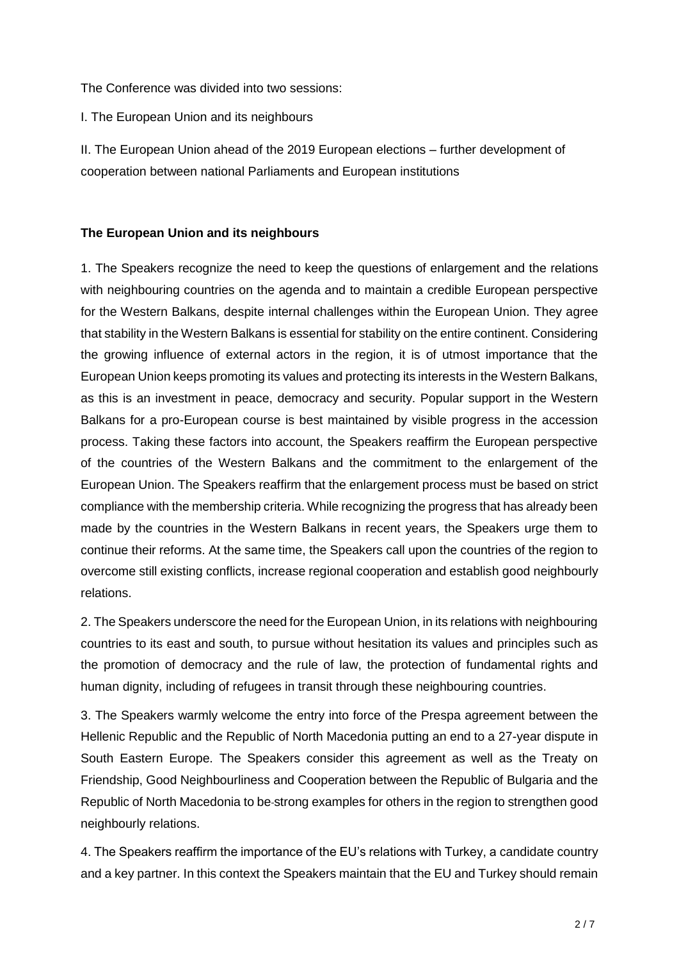The Conference was divided into two sessions:

I. The European Union and its neighbours

II. The European Union ahead of the 2019 European elections – further development of cooperation between national Parliaments and European institutions

## **The European Union and its neighbours**

1. The Speakers recognize the need to keep the questions of enlargement and the relations with neighbouring countries on the agenda and to maintain a credible European perspective for the Western Balkans, despite internal challenges within the European Union. They agree that stability in the Western Balkans is essential for stability on the entire continent. Considering the growing influence of external actors in the region, it is of utmost importance that the European Union keeps promoting its values and protecting its interests in the Western Balkans, as this is an investment in peace, democracy and security. Popular support in the Western Balkans for a pro-European course is best maintained by visible progress in the accession process. Taking these factors into account, the Speakers reaffirm the European perspective of the countries of the Western Balkans and the commitment to the enlargement of the European Union. The Speakers reaffirm that the enlargement process must be based on strict compliance with the membership criteria. While recognizing the progress that has already been made by the countries in the Western Balkans in recent years, the Speakers urge them to continue their reforms. At the same time, the Speakers call upon the countries of the region to overcome still existing conflicts, increase regional cooperation and establish good neighbourly relations.

2. The Speakers underscore the need for the European Union, in its relations with neighbouring countries to its east and south, to pursue without hesitation its values and principles such as the promotion of democracy and the rule of law, the protection of fundamental rights and human dignity, including of refugees in transit through these neighbouring countries.

3. The Speakers warmly welcome the entry into force of the Prespa agreement between the Hellenic Republic and the Republic of North Macedonia putting an end to a 27-year dispute in South Eastern Europe. The Speakers consider this agreement as well as the Treaty on Friendship, Good Neighbourliness and Cooperation between the Republic of Bulgaria and the Republic of North Macedonia to be strong examples for others in the region to strengthen good neighbourly relations.

4. The Speakers reaffirm the importance of the EU's relations with Turkey, a candidate country and a key partner. In this context the Speakers maintain that the EU and Turkey should remain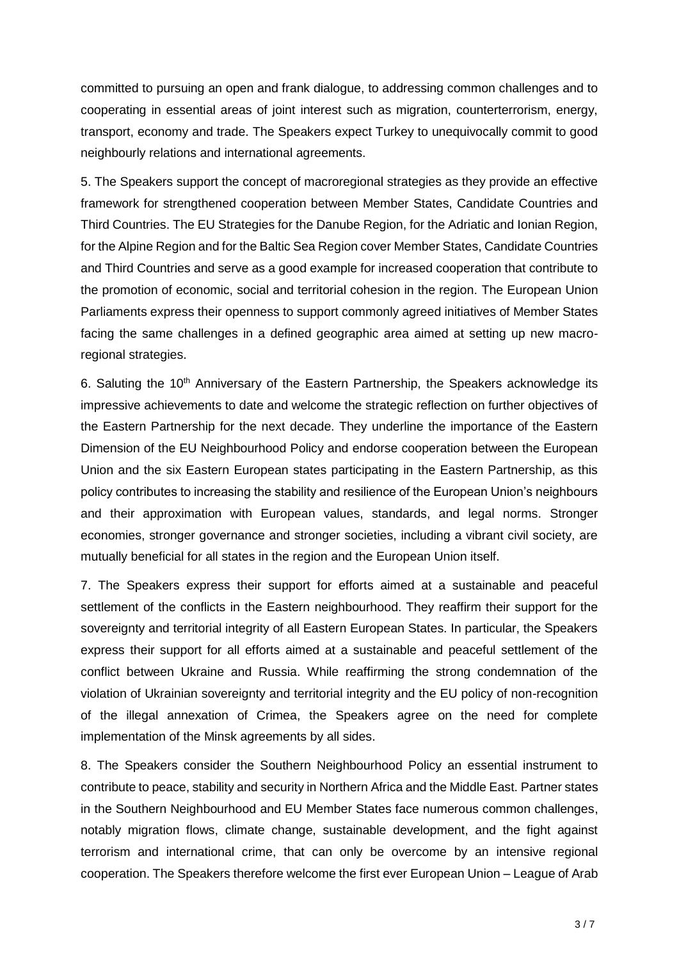committed to pursuing an open and frank dialogue, to addressing common challenges and to cooperating in essential areas of joint interest such as migration, counterterrorism, energy, transport, economy and trade. The Speakers expect Turkey to unequivocally commit to good neighbourly relations and international agreements.

5. The Speakers support the concept of macroregional strategies as they provide an effective framework for strengthened cooperation between Member States, Candidate Countries and Third Countries. The EU Strategies for the Danube Region, for the Adriatic and Ionian Region, for the Alpine Region and for the Baltic Sea Region cover Member States, Candidate Countries and Third Countries and serve as a good example for increased cooperation that contribute to the promotion of economic, social and territorial cohesion in the region. The European Union Parliaments express their openness to support commonly agreed initiatives of Member States facing the same challenges in a defined geographic area aimed at setting up new macroregional strategies.

6. Saluting the  $10<sup>th</sup>$  Anniversary of the Eastern Partnership, the Speakers acknowledge its impressive achievements to date and welcome the strategic reflection on further objectives of the Eastern Partnership for the next decade. They underline the importance of the Eastern Dimension of the EU Neighbourhood Policy and endorse cooperation between the European Union and the six Eastern European states participating in the Eastern Partnership, as this policy contributes to increasing the stability and resilience of the European Union's neighbours and their approximation with European values, standards, and legal norms. Stronger economies, stronger governance and stronger societies, including a vibrant civil society, are mutually beneficial for all states in the region and the European Union itself.

7. The Speakers express their support for efforts aimed at a sustainable and peaceful settlement of the conflicts in the Eastern neighbourhood. They reaffirm their support for the sovereignty and territorial integrity of all Eastern European States. In particular, the Speakers express their support for all efforts aimed at a sustainable and peaceful settlement of the conflict between Ukraine and Russia. While reaffirming the strong condemnation of the violation of Ukrainian sovereignty and territorial integrity and the EU policy of non-recognition of the illegal annexation of Crimea, the Speakers agree on the need for complete implementation of the Minsk agreements by all sides.

8. The Speakers consider the Southern Neighbourhood Policy an essential instrument to contribute to peace, stability and security in Northern Africa and the Middle East. Partner states in the Southern Neighbourhood and EU Member States face numerous common challenges, notably migration flows, climate change, sustainable development, and the fight against terrorism and international crime, that can only be overcome by an intensive regional cooperation. The Speakers therefore welcome the first ever European Union – League of Arab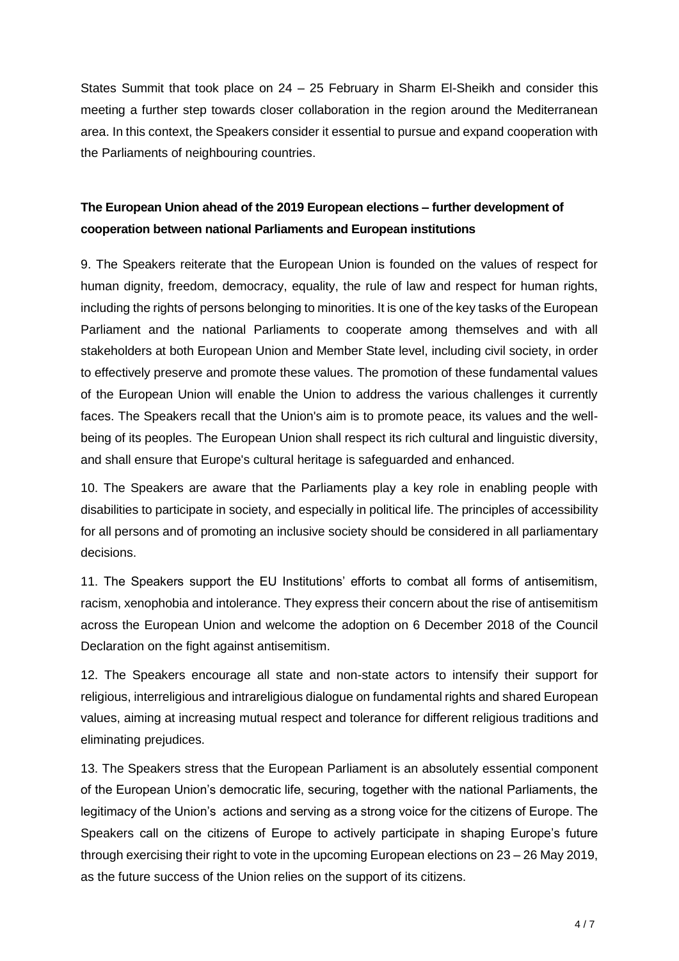States Summit that took place on 24 – 25 February in Sharm El-Sheikh and consider this meeting a further step towards closer collaboration in the region around the Mediterranean area. In this context, the Speakers consider it essential to pursue and expand cooperation with the Parliaments of neighbouring countries.

## **The European Union ahead of the 2019 European elections – further development of cooperation between national Parliaments and European institutions**

9. The Speakers reiterate that the European Union is founded on the values of respect for human dignity, freedom, democracy, equality, the rule of law and respect for human rights, including the rights of persons belonging to minorities. It is one of the key tasks of the European Parliament and the national Parliaments to cooperate among themselves and with all stakeholders at both European Union and Member State level, including civil society, in order to effectively preserve and promote these values. The promotion of these fundamental values of the European Union will enable the Union to address the various challenges it currently faces. The Speakers recall that the Union's aim is to promote peace, its values and the wellbeing of its peoples. The European Union shall respect its rich cultural and linguistic diversity, and shall ensure that Europe's cultural heritage is safeguarded and enhanced.

10. The Speakers are aware that the Parliaments play a key role in enabling people with disabilities to participate in society, and especially in political life. The principles of accessibility for all persons and of promoting an inclusive society should be considered in all parliamentary decisions.

11. The Speakers support the EU Institutions' efforts to combat all forms of antisemitism, racism, xenophobia and intolerance. They express their concern about the rise of antisemitism across the European Union and welcome the adoption on 6 December 2018 of the Council Declaration on the fight against antisemitism.

12. The Speakers encourage all state and non-state actors to intensify their support for religious, interreligious and intrareligious dialogue on fundamental rights and shared European values, aiming at increasing mutual respect and tolerance for different religious traditions and eliminating prejudices.

13. The Speakers stress that the European Parliament is an absolutely essential component of the European Union's democratic life, securing, together with the national Parliaments, the legitimacy of the Union's actions and serving as a strong voice for the citizens of Europe. The Speakers call on the citizens of Europe to actively participate in shaping Europe's future through exercising their right to vote in the upcoming European elections on 23 – 26 May 2019, as the future success of the Union relies on the support of its citizens.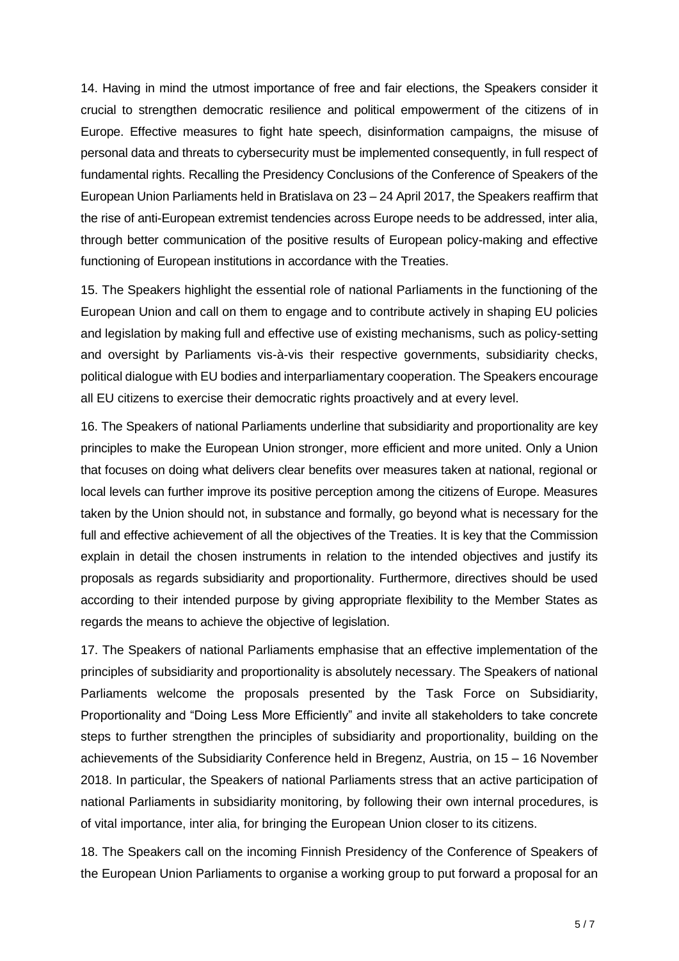14. Having in mind the utmost importance of free and fair elections, the Speakers consider it crucial to strengthen democratic resilience and political empowerment of the citizens of in Europe. Effective measures to fight hate speech, disinformation campaigns, the misuse of personal data and threats to cybersecurity must be implemented consequently, in full respect of fundamental rights. Recalling the Presidency Conclusions of the Conference of Speakers of the European Union Parliaments held in Bratislava on 23 – 24 April 2017, the Speakers reaffirm that the rise of anti-European extremist tendencies across Europe needs to be addressed, inter alia, through better communication of the positive results of European policy-making and effective functioning of European institutions in accordance with the Treaties.

15. The Speakers highlight the essential role of national Parliaments in the functioning of the European Union and call on them to engage and to contribute actively in shaping EU policies and legislation by making full and effective use of existing mechanisms, such as policy-setting and oversight by Parliaments vis-à-vis their respective governments, subsidiarity checks, political dialogue with EU bodies and interparliamentary cooperation. The Speakers encourage all EU citizens to exercise their democratic rights proactively and at every level.

16. The Speakers of national Parliaments underline that subsidiarity and proportionality are key principles to make the European Union stronger, more efficient and more united. Only a Union that focuses on doing what delivers clear benefits over measures taken at national, regional or local levels can further improve its positive perception among the citizens of Europe. Measures taken by the Union should not, in substance and formally, go beyond what is necessary for the full and effective achievement of all the objectives of the Treaties. It is key that the Commission explain in detail the chosen instruments in relation to the intended objectives and justify its proposals as regards subsidiarity and proportionality. Furthermore, directives should be used according to their intended purpose by giving appropriate flexibility to the Member States as regards the means to achieve the objective of legislation.

17. The Speakers of national Parliaments emphasise that an effective implementation of the principles of subsidiarity and proportionality is absolutely necessary. The Speakers of national Parliaments welcome the proposals presented by the Task Force on Subsidiarity, Proportionality and "Doing Less More Efficiently" and invite all stakeholders to take concrete steps to further strengthen the principles of subsidiarity and proportionality, building on the achievements of the Subsidiarity Conference held in Bregenz, Austria, on 15 – 16 November 2018. In particular, the Speakers of national Parliaments stress that an active participation of national Parliaments in subsidiarity monitoring, by following their own internal procedures, is of vital importance, inter alia, for bringing the European Union closer to its citizens.

18. The Speakers call on the incoming Finnish Presidency of the Conference of Speakers of the European Union Parliaments to organise a working group to put forward a proposal for an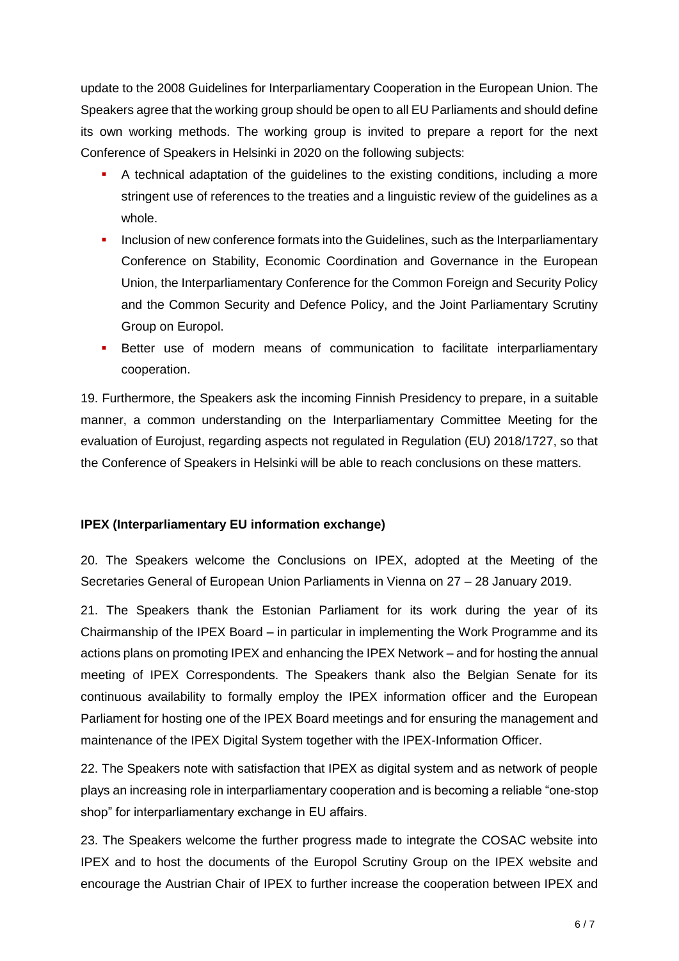update to the 2008 Guidelines for Interparliamentary Cooperation in the European Union. The Speakers agree that the working group should be open to all EU Parliaments and should define its own working methods. The working group is invited to prepare a report for the next Conference of Speakers in Helsinki in 2020 on the following subjects:

- A technical adaptation of the guidelines to the existing conditions, including a more stringent use of references to the treaties and a linguistic review of the guidelines as a whole.
- Inclusion of new conference formats into the Guidelines, such as the Interparliamentary Conference on Stability, Economic Coordination and Governance in the European Union, the Interparliamentary Conference for the Common Foreign and Security Policy and the Common Security and Defence Policy, and the Joint Parliamentary Scrutiny Group on Europol.
- Better use of modern means of communication to facilitate interparliamentary cooperation.

19. Furthermore, the Speakers ask the incoming Finnish Presidency to prepare, in a suitable manner, a common understanding on the Interparliamentary Committee Meeting for the evaluation of Eurojust, regarding aspects not regulated in Regulation (EU) 2018/1727, so that the Conference of Speakers in Helsinki will be able to reach conclusions on these matters.

## **IPEX (Interparliamentary EU information exchange)**

20. The Speakers welcome the Conclusions on IPEX, adopted at the Meeting of the Secretaries General of European Union Parliaments in Vienna on 27 – 28 January 2019.

21. The Speakers thank the Estonian Parliament for its work during the year of its Chairmanship of the IPEX Board – in particular in implementing the Work Programme and its actions plans on promoting IPEX and enhancing the IPEX Network – and for hosting the annual meeting of IPEX Correspondents. The Speakers thank also the Belgian Senate for its continuous availability to formally employ the IPEX information officer and the European Parliament for hosting one of the IPEX Board meetings and for ensuring the management and maintenance of the IPEX Digital System together with the IPEX-Information Officer.

22. The Speakers note with satisfaction that IPEX as digital system and as network of people plays an increasing role in interparliamentary cooperation and is becoming a reliable "one-stop shop" for interparliamentary exchange in EU affairs.

23. The Speakers welcome the further progress made to integrate the COSAC website into IPEX and to host the documents of the Europol Scrutiny Group on the IPEX website and encourage the Austrian Chair of IPEX to further increase the cooperation between IPEX and